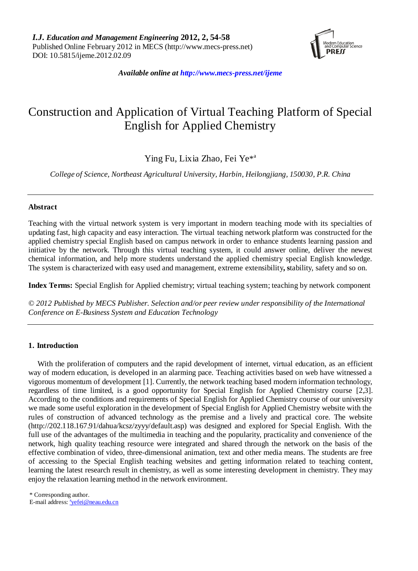

*Available online at http://www.mecs-press.net/ijeme*

# Construction and Application of Virtual Teaching Platform of Special English for Applied Chemistry

Ying Fu, Lixia Zhao, Fei Ye\* a

*College of Science, Northeast Agricultural University, Harbin, Heilongjiang, 150030, P.R. China*

## **Abstract**

Teaching with the virtual network system is very important in modern teaching mode with its specialties of updating fast, high capacity and easy interaction. The virtual teaching network platform was constructed for the applied chemistry special English based on campus network in order to enhance students learning passion and initiative by the network. Through this virtual teaching system, it could answer online, deliver the newest chemical information, and help more students understand the applied chemistry special English knowledge. The system is characterized with easy used and management, extreme extensibility**, s**tability, safety and so on.

**Index Terms:** Special English for Applied chemistry; virtual teaching system; teaching by network component

*© 2012 Published by MECS Publisher. Selection and/or peer review under responsibility of the International Conference on E-Business System and Education Technology*

## **1. Introduction**

With the proliferation of computers and the rapid development of internet, virtual education, as an efficient way of modern education, is developed in an alarming pace. Teaching activities based on web have witnessed a vigorous momentum of development [1]. Currently, the network teaching based modern information technology, regardless of time limited, is a good opportunity for Special English for Applied Chemistry course [2,3]. According to the conditions and requirements of Special English for Applied Chemistry course of our university we made some useful exploration in the development of Special English for Applied Chemistry website with the rules of construction of advanced technology as the premise and a lively and practical core. The website (http://202.118.167.91/dahua/kcsz/zyyy/default.asp) was designed and explored for Special English. With the full use of the advantages of the multimedia in teaching and the popularity, practicality and convenience of the network, high quality teaching resource were integrated and shared through the network on the basis of the effective combination of video, three-dimensional animation, text and other media means. The students are free of accessing to the Special English teaching websites and getting information related to teaching content, learning the latest research result in chemistry, as well as some interesting development in chemistry. They may enjoy the relaxation learning method in the network environment.

\* Corresponding author.

E-mail address: <u><sup>a</sup>[yefei@neau.edu.cn](mailto:ayefei@neau.edu.cn)</u>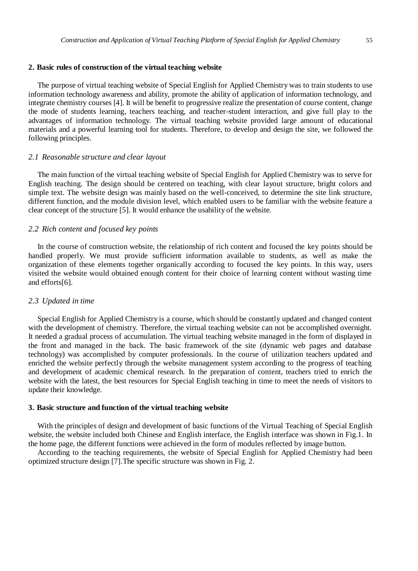#### **2. Basic rules of construction of the virtual teaching website**

The purpose of virtual teaching website of Special English for Applied Chemistry was to train students to use information technology awareness and ability, promote the ability of application of information technology, and integrate chemistry courses [4]. It will be benefit to progressive realize the presentation of course content, change the mode of students learning, teachers teaching, and teacher-student interaction, and give full play to the advantages of information technology. The virtual teaching website provided large amount of educational materials and a powerful learning tool for students. Therefore, to develop and design the site, we followed the following principles.

#### *2.1 Reasonable structure and clear layout*

The main function of the virtual teaching website of Special English for Applied Chemistry was to serve for English teaching. The design should be centered on teaching, with clear layout structure, bright colors and simple text. The website design was mainly based on the well-conceived, to determine the site link structure, different function, and the module division level, which enabled users to be familiar with the website feature a clear concept of the structure [5]. It would enhance the usability of the website.

#### *2.2 Rich content and focused key points*

In the course of construction website, the relationship of rich content and focused the key points should be handled properly. We must provide sufficient information available to students, as well as make the organization of these elements together organically according to focused the key points. In this way, users visited the website would obtained enough content for their choice of learning content without wasting time and efforts[6].

## *2.3 Updated in time*

Special English for Applied Chemistry is a course, which should be constantly updated and changed content with the development of chemistry. Therefore, the virtual teaching website can not be accomplished overnight. It needed a gradual process of accumulation. The virtual teaching website managed in the form of displayed in the front and managed in the back. The basic framework of the site (dynamic web pages and database technology) was accomplished by computer professionals. In the course of utilization teachers updated and enriched the website perfectly through the website management system according to the progress of teaching and development of academic chemical research. In the preparation of content, teachers tried to enrich the website with the latest, the best resources for Special English teaching in time to meet the needs of visitors to update their knowledge.

### **3. Basic structure and function of the virtual teaching website**

With the principles of design and development of basic functions of the Virtual Teaching of Special English website, the website included both Chinese and English interface, the English interface was shown in Fig.1. In the home page, the different functions were achieved in the form of modules reflected by image button.

According to the teaching requirements, the website of Special English for Applied Chemistry had been optimized structure design [7].The specific structure was shown in Fig. 2.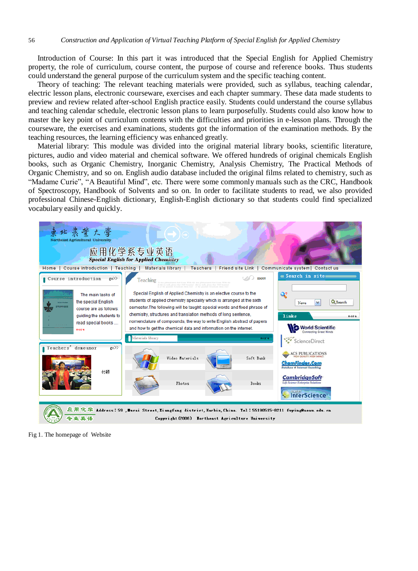Introduction of Course: In this part it was introduced that the Special English for Applied Chemistry property, the role of curriculum, course content, the purpose of course and reference books. Thus students could understand the general purpose of the curriculum system and the specific teaching content.

Theory of teaching: The relevant teaching materials were provided, such as syllabus, teaching calendar, electric lesson plans, electronic courseware, exercises and each chapter summary. These data made students to preview and review related after-school English practice easily. Students could understand the course syllabus and teaching calendar schedule, electronic lesson plans to learn purposefully. Students could also know how to master the key point of curriculum contents with the difficulties and priorities in e-lesson plans. Through the courseware, the exercises and examinations, students got the information of the examination methods. By the teaching resources, the learning efficiency was enhanced greatly.

Material library: This module was divided into the original material library books, scientific literature, pictures, audio and video material and chemical software. We offered hundreds of original chemicals English books, such as Organic Chemistry, Inorganic Chemistry, Analysis Chemistry, The Practical Methods of Organic Chemistry, and so on. English audio database included the original films related to chemistry, such as "Madame Curie", "A Beautiful Mind", etc. There were some commonly manuals such as the CRC, Handbook of Spectroscopy, Handbook of Solvents and so on. In order to facilitate students to read, we also provided professional Chinese-English dictionary, English-English dictionary so that students could find specialized vocabulary easily and quickly.



Fig 1. The homepage of Website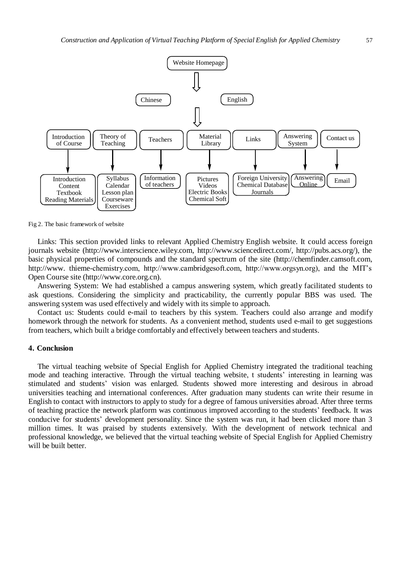

Fig 2. The basic framework of website

Links: This section provided links to relevant Applied Chemistry English website. It could access foreign journals website (http://www.interscience.wiley.com, http://www.sciencedirect.com/, http://pubs.acs.org/), the basic physical properties of compounds and the standard spectrum of the site (http://chemfinder.camsoft.com, http://www. thieme-chemistry.com, http://www.cambridgesoft.com, http://www.orgsyn.org), and the MIT's Open Course site (http://www.core.org.cn).

Answering System: We had established a campus answering system, which greatly facilitated students to ask questions. Considering the simplicity and practicability, the currently popular BBS was used. The answering system was use[d effectively](app:ds:effectively) and widely with its simple to approach.

Contact us: Students could e-mail to teachers by this system. Teachers could also arrange and modify homework through the network for students. As a convenient method, students used e-mail to get suggestions from teachers, which built a bridge comfortably and effectively between teachers and students.

#### **4. Conclusion**

The virtual teaching website of Special English for Applied Chemistry integrated the traditional teaching mode and teaching interactive. Through the virtual teaching website, t students' interesting in learning was stimulated and students' vision was enlarged. Students showed more interesting and desirous in abroad universities teaching and international conferences. After graduation many students can write their resume in English to contact with instructors to apply to study for a degree of famous universities abroad. After three terms of teaching practice the network platform was continuous improved according to the students' feedback. It was conducive for students' development personality. Since the system was run, it had been clicked more than 3 million times. It was praised by students extensively. With the development of network technical and professional knowledge, we believed that the virtual teaching website of Special English for Applied Chemistry will be built better.